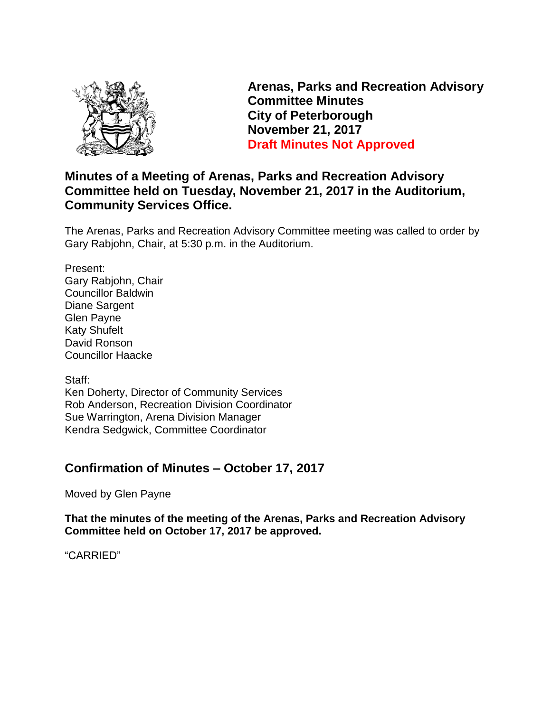

**Arenas, Parks and Recreation Advisory Committee Minutes City of Peterborough November 21, 2017 Draft Minutes Not Approved**

## **Minutes of a Meeting of Arenas, Parks and Recreation Advisory Committee held on Tuesday, November 21, 2017 in the Auditorium, Community Services Office.**

The Arenas, Parks and Recreation Advisory Committee meeting was called to order by Gary Rabjohn, Chair, at 5:30 p.m. in the Auditorium.

Present: Gary Rabjohn, Chair Councillor Baldwin Diane Sargent Glen Payne Katy Shufelt David Ronson Councillor Haacke

Staff: Ken Doherty, Director of Community Services Rob Anderson, Recreation Division Coordinator Sue Warrington, Arena Division Manager Kendra Sedgwick, Committee Coordinator

## **Confirmation of Minutes – October 17, 2017**

Moved by Glen Payne

**That the minutes of the meeting of the Arenas, Parks and Recreation Advisory Committee held on October 17, 2017 be approved.**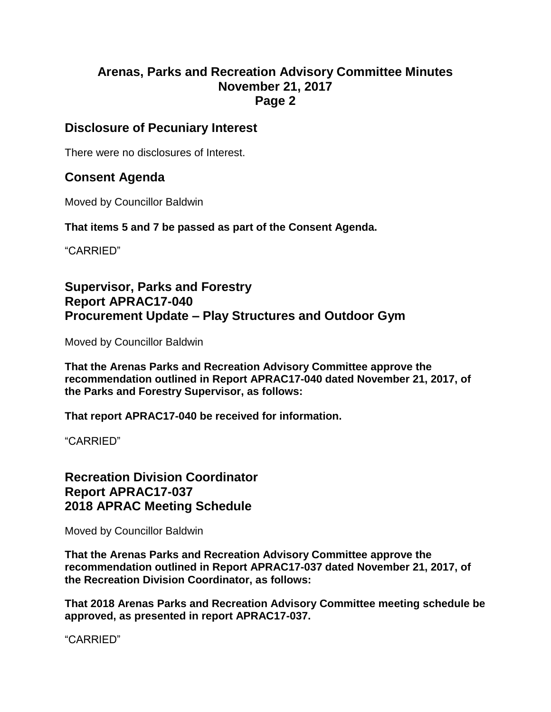#### **Disclosure of Pecuniary Interest**

There were no disclosures of Interest.

## **Consent Agenda**

Moved by Councillor Baldwin

**That items 5 and 7 be passed as part of the Consent Agenda.**

"CARRIED"

## **Supervisor, Parks and Forestry Report APRAC17-040 Procurement Update – Play Structures and Outdoor Gym**

Moved by Councillor Baldwin

**That the Arenas Parks and Recreation Advisory Committee approve the recommendation outlined in Report APRAC17-040 dated November 21, 2017, of the Parks and Forestry Supervisor, as follows:**

**That report APRAC17-040 be received for information.**

"CARRIED"

**Recreation Division Coordinator Report APRAC17-037 2018 APRAC Meeting Schedule**

Moved by Councillor Baldwin

**That the Arenas Parks and Recreation Advisory Committee approve the recommendation outlined in Report APRAC17-037 dated November 21, 2017, of the Recreation Division Coordinator, as follows:**

**That 2018 Arenas Parks and Recreation Advisory Committee meeting schedule be approved, as presented in report APRAC17-037.**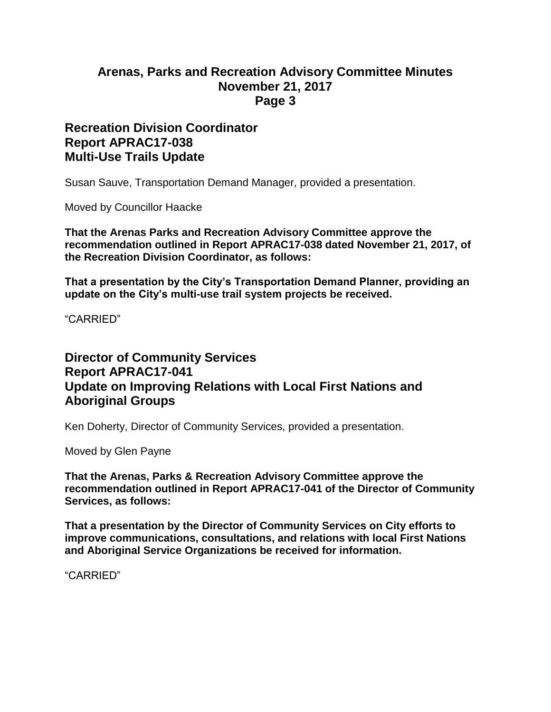#### **Recreation Division Coordinator Report APRAC17-038 Multi-Use Trails Update**

Susan Sauve, Transportation Demand Manager, provided a presentation.

Moved by Councillor Haacke

**That the Arenas Parks and Recreation Advisory Committee approve the recommendation outlined in Report APRAC17-038 dated November 21, 2017, of the Recreation Division Coordinator, as follows:**

**That a presentation by the City's Transportation Demand Planner, providing an update on the City's multi-use trail system projects be received.**

"CARRIED"

## **Director of Community Services Report APRAC17-041 Update on Improving Relations with Local First Nations and Aboriginal Groups**

Ken Doherty, Director of Community Services, provided a presentation.

Moved by Glen Payne

**That the Arenas, Parks & Recreation Advisory Committee approve the recommendation outlined in Report APRAC17-041 of the Director of Community Services, as follows:**

**That a presentation by the Director of Community Services on City efforts to improve communications, consultations, and relations with local First Nations and Aboriginal Service Organizations be received for information.**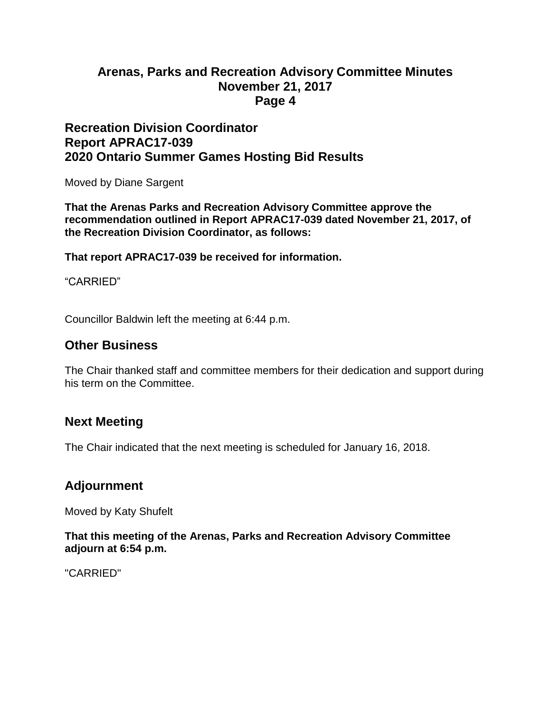#### **Recreation Division Coordinator Report APRAC17-039 2020 Ontario Summer Games Hosting Bid Results**

Moved by Diane Sargent

**That the Arenas Parks and Recreation Advisory Committee approve the recommendation outlined in Report APRAC17-039 dated November 21, 2017, of the Recreation Division Coordinator, as follows:**

**That report APRAC17-039 be received for information.**

"CARRIED"

Councillor Baldwin left the meeting at 6:44 p.m.

#### **Other Business**

The Chair thanked staff and committee members for their dedication and support during his term on the Committee.

#### **Next Meeting**

The Chair indicated that the next meeting is scheduled for January 16, 2018.

#### **Adjournment**

Moved by Katy Shufelt

#### **That this meeting of the Arenas, Parks and Recreation Advisory Committee adjourn at 6:54 p.m.**